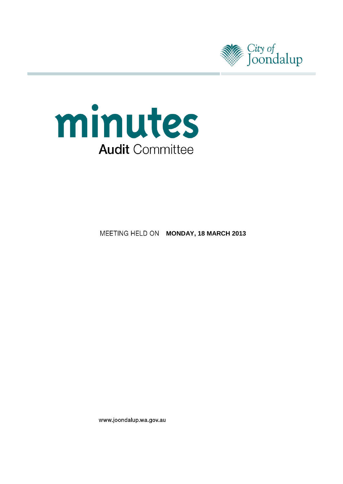



**MEETING HELD ON MONDAY, 18 MARCH 2013** 

www.joondalup.wa.gov.au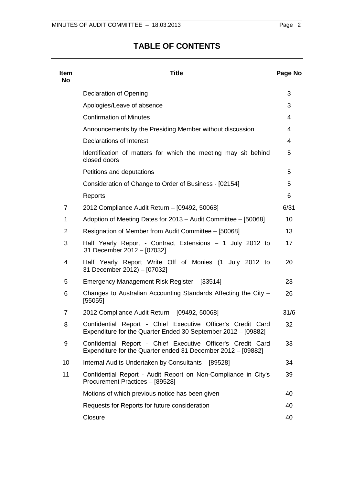# **TABLE OF CONTENTS**

| <b>Item</b><br><b>No</b> | <b>Title</b>                                                                                                                 | Page No |
|--------------------------|------------------------------------------------------------------------------------------------------------------------------|---------|
|                          | Declaration of Opening                                                                                                       | 3       |
|                          | Apologies/Leave of absence                                                                                                   | 3       |
|                          | <b>Confirmation of Minutes</b>                                                                                               | 4       |
|                          | Announcements by the Presiding Member without discussion                                                                     | 4       |
|                          | Declarations of Interest                                                                                                     | 4       |
|                          | Identification of matters for which the meeting may sit behind<br>closed doors                                               | 5       |
|                          | Petitions and deputations                                                                                                    | 5       |
|                          | Consideration of Change to Order of Business - [02154]                                                                       | 5       |
|                          | Reports                                                                                                                      | 6       |
| 7                        | 2012 Compliance Audit Return - [09492, 50068]                                                                                | 6/31    |
| 1                        | Adoption of Meeting Dates for 2013 - Audit Committee - [50068]                                                               | 10      |
| 2                        | Resignation of Member from Audit Committee - [50068]                                                                         | 13      |
| 3                        | Half Yearly Report - Contract Extensions - 1 July 2012 to<br>31 December 2012 - [07032]                                      | 17      |
| 4                        | Half Yearly Report Write Off of Monies (1 July 2012 to<br>31 December 2012) - [07032]                                        | 20      |
| 5                        | Emergency Management Risk Register - [33514]                                                                                 | 23      |
| 6                        | Changes to Australian Accounting Standards Affecting the City -<br>[55055]                                                   | 26      |
| 7                        | 2012 Compliance Audit Return - [09492, 50068]                                                                                | 31/6    |
| 8                        | Confidential Report - Chief Executive Officer's Credit Card<br>Expenditure for the Quarter Ended 30 September 2012 - [09882] | 32      |
| 9                        | Confidential Report - Chief Executive Officer's Credit Card<br>Expenditure for the Quarter ended 31 December 2012 - [09882]  | 33      |
| 10                       | Internal Audits Undertaken by Consultants - [89528]                                                                          | 34      |
| 11                       | Confidential Report - Audit Report on Non-Compliance in City's<br>Procurement Practices - [89528]                            | 39      |
|                          | Motions of which previous notice has been given                                                                              | 40      |
|                          | Requests for Reports for future consideration                                                                                | 40      |
|                          | Closure                                                                                                                      | 40      |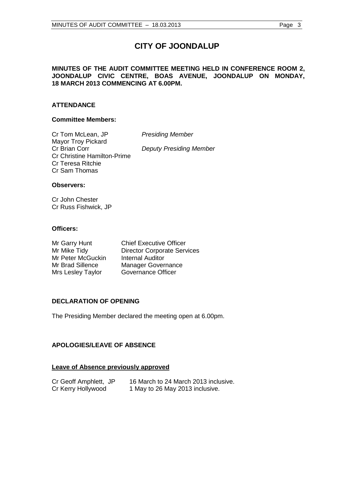# **CITY OF JOONDALUP**

# **MINUTES OF THE AUDIT COMMITTEE MEETING HELD IN CONFERENCE ROOM 2, JOONDALUP CIVIC CENTRE, BOAS AVENUE, JOONDALUP ON MONDAY, 18 MARCH 2013 COMMENCING AT 6.00PM.**

# **ATTENDANCE**

# **Committee Members:**

Cr Tom McLean, JP *Presiding Member* Mayor Troy Pickard<br>Cr Brian Corr Cr Christine Hamilton-Prime Cr Teresa Ritchie Cr Sam Thomas

**Deputy Presiding Member** 

# **Observers:**

Cr John Chester Cr Russ Fishwick, JP

# **Officers:**

| Mr Garry Hunt     | <b>Chief Executive Officer</b>     |
|-------------------|------------------------------------|
| Mr Mike Tidy      | <b>Director Corporate Services</b> |
| Mr Peter McGuckin | <b>Internal Auditor</b>            |
| Mr Brad Sillence  | <b>Manager Governance</b>          |
| Mrs Lesley Taylor | <b>Governance Officer</b>          |

# <span id="page-2-0"></span>**DECLARATION OF OPENING**

The Presiding Member declared the meeting open at 6.00pm.

# <span id="page-2-1"></span>**APOLOGIES/LEAVE OF ABSENCE**

# **Leave of Absence previously approved**

| Cr Geoff Amphlett, JP | 16 March to 24 March 2013 inclusive. |
|-----------------------|--------------------------------------|
| Cr Kerry Hollywood    | 1 May to 26 May 2013 inclusive.      |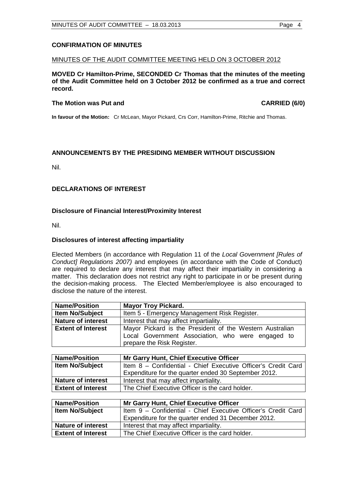# <span id="page-3-0"></span>**CONFIRMATION OF MINUTES**

#### MINUTES OF THE AUDIT COMMITTEE MEETING HELD ON 3 OCTOBER 2012

**MOVED Cr Hamilton-Prime, SECONDED Cr Thomas that the minutes of the meeting of the Audit Committee held on 3 October 2012 be confirmed as a true and correct record.**

#### **The Motion was Put and CARRIED (6/0) CARRIED (6/0)**

**In favour of the Motion:** Cr McLean, Mayor Pickard, Crs Corr, Hamilton-Prime, Ritchie and Thomas.

# <span id="page-3-1"></span>**ANNOUNCEMENTS BY THE PRESIDING MEMBER WITHOUT DISCUSSION**

Nil.

# <span id="page-3-2"></span>**DECLARATIONS OF INTEREST**

# **Disclosure of Financial Interest/Proximity Interest**

Nil.

#### **Disclosures of interest affecting impartiality**

Elected Members (in accordance with Regulation 11 of the *Local Government [Rules of Conduct] Regulations 2007)* and employees (in accordance with the Code of Conduct) are required to declare any interest that may affect their impartiality in considering a matter. This declaration does not restrict any right to participate in or be present during the decision-making process. The Elected Member/employee is also encouraged to disclose the nature of the interest.

| <b>Name/Position</b>                                                  | <b>Mayor Troy Pickard.</b>                                    |
|-----------------------------------------------------------------------|---------------------------------------------------------------|
| <b>Item No/Subject</b>                                                | Item 5 - Emergency Management Risk Register.                  |
| <b>Nature of interest</b>                                             | Interest that may affect impartiality.                        |
| <b>Extent of Interest</b>                                             | Mayor Pickard is the President of the Western Australian      |
|                                                                       | Local Government Association, who were engaged to             |
|                                                                       | prepare the Risk Register.                                    |
|                                                                       |                                                               |
| <b>Name/Position</b><br><b>Mr Garry Hunt, Chief Executive Officer</b> |                                                               |
| <b>Item No/Subject</b>                                                | Item 8 - Confidential - Chief Executive Officer's Credit Card |
|                                                                       | Expenditure for the quarter ended 30 September 2012.          |
| <b>Nature of interest</b>                                             | Interest that may affect impartiality.                        |
| <b>Extent of Interest</b>                                             | The Chief Executive Officer is the card holder.               |
|                                                                       |                                                               |
| <b>Name/Position</b>                                                  | <b>Mr Garry Hunt, Chief Executive Officer</b>                 |
| <b>Item No/Subject</b>                                                | Item 9 - Confidential - Chief Executive Officer's Credit Card |
|                                                                       | Expenditure for the quarter ended 31 December 2012.           |
| Noturo of interact                                                    | $Intract that may affect in nontriviality.$                   |

|                           | Experiment for the quarter ended 31 December 2012 |
|---------------------------|---------------------------------------------------|
| <b>Nature of interest</b> | Interest that may affect impartiality.            |
| <b>Extent of Interest</b> | The Chief Executive Officer is the card holder.   |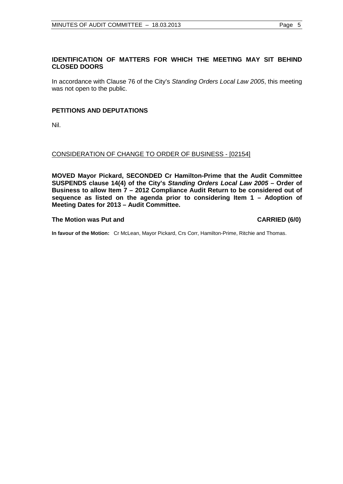# <span id="page-4-0"></span>**IDENTIFICATION OF MATTERS FOR WHICH THE MEETING MAY SIT BEHIND CLOSED DOORS**

In accordance with Clause 76 of the City's *Standing Orders Local Law 2005*, this meeting was not open to the public.

# <span id="page-4-1"></span>**PETITIONS AND DEPUTATIONS**

Nil.

# <span id="page-4-2"></span>CONSIDERATION OF CHANGE TO ORDER OF BUSINESS - [02154]

**MOVED Mayor Pickard, SECONDED Cr Hamilton-Prime that the Audit Committee SUSPENDS clause 14(4) of the City's** *Standing Orders Local Law 2005* **– Order of Business to allow Item 7 – 2012 Compliance Audit Return to be considered out of sequence as listed on the agenda prior to considering Item 1 – Adoption of Meeting Dates for 2013 – Audit Committee.**

#### **The Motion was Put and CARRIED (6/0)**

**In favour of the Motion:** Cr McLean, Mayor Pickard, Crs Corr, Hamilton-Prime, Ritchie and Thomas.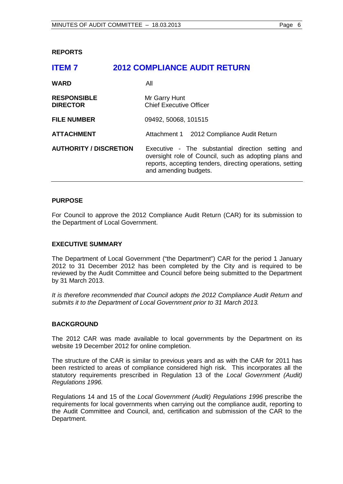### <span id="page-5-1"></span><span id="page-5-0"></span>**REPORTS**

# **ITEM 7 2012 COMPLIANCE AUDIT RETURN**

| <b>WARD</b>                           | All                                                                                                                                                                                              |
|---------------------------------------|--------------------------------------------------------------------------------------------------------------------------------------------------------------------------------------------------|
| <b>RESPONSIBLE</b><br><b>DIRECTOR</b> | Mr Garry Hunt<br><b>Chief Executive Officer</b>                                                                                                                                                  |
| <b>FILE NUMBER</b>                    | 09492, 50068, 101515                                                                                                                                                                             |
| <b>ATTACHMENT</b>                     | Attachment 1 2012 Compliance Audit Return                                                                                                                                                        |
| <b>AUTHORITY / DISCRETION</b>         | Executive - The substantial direction setting and<br>oversight role of Council, such as adopting plans and<br>reports, accepting tenders, directing operations, setting<br>and amending budgets. |

#### **PURPOSE**

For Council to approve the 2012 Compliance Audit Return (CAR) for its submission to the Department of Local Government.

### **EXECUTIVE SUMMARY**

The Department of Local Government ("the Department") CAR for the period 1 January 2012 to 31 December 2012 has been completed by the City and is required to be reviewed by the Audit Committee and Council before being submitted to the Department by 31 March 2013.

*It is therefore recommended that Council adopts the 2012 Compliance Audit Return and submits it to the Department of Local Government prior to 31 March 2013.*

#### **BACKGROUND**

The 2012 CAR was made available to local governments by the Department on its website 19 December 2012 for online completion.

The structure of the CAR is similar to previous years and as with the CAR for 2011 has been restricted to areas of compliance considered high risk. This incorporates all the statutory requirements prescribed in Regulation 13 of the *Local Government (Audit) Regulations 1996.*

Regulations 14 and 15 of the *Local Government (Audit) Regulations 1996* prescribe the requirements for local governments when carrying out the compliance audit, reporting to the Audit Committee and Council, and, certification and submission of the CAR to the Department.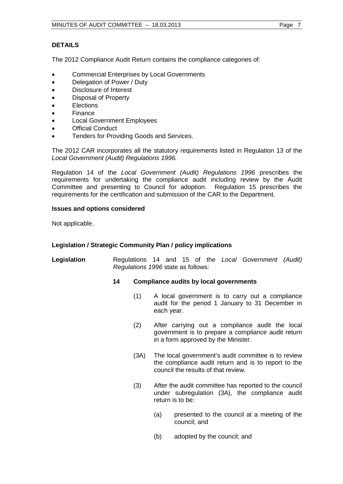# **DETAILS**

The 2012 Compliance Audit Return contains the compliance categories of:

- Commercial Enterprises by Local Governments
- Delegation of Power / Duty
- Disclosure of Interest
- Disposal of Property
- Elections
- Finance
- Local Government Employees
- Official Conduct
- Tenders for Providing Goods and Services.

The 2012 CAR incorporates all the statutory requirements listed in Regulation 13 of the *Local Government (Audit) Regulations 1996.* 

Regulation 14 of the *Local Government (Audit) Regulations 1996* prescribes the requirements for undertaking the compliance audit including review by the Audit Committee and presenting to Council for adoption. Regulation 15 prescribes the requirements for the certification and submission of the CAR to the Department.

# **Issues and options considered**

Not applicable.

# **Legislation / Strategic Community Plan / policy implications**

**Legislation** Regulations 14 and 15 of the *Local Government (Audit) Regulations 1996* state as follows:

#### **14 Compliance audits by local governments**

- (1) A local government is to carry out a compliance audit for the period 1 January to 31 December in each year.
- (2) After carrying out a compliance audit the local government is to prepare a compliance audit return in a form approved by the Minister.
- (3A) The local government's audit committee is to review the compliance audit return and is to report to the council the results of that review.
- (3) After the audit committee has reported to the council under subregulation (3A), the compliance audit return is to be:
	- (a) presented to the council at a meeting of the council; and
	- (b) adopted by the council; and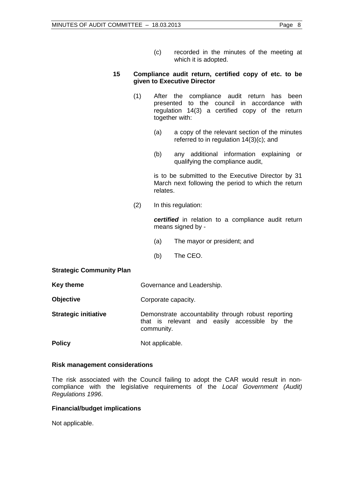# **15 Compliance audit return, certified copy of etc. to be given to Executive Director**

- (1) After the compliance audit return has been presented to the council in accordance with regulation 14(3) a certified copy of the return together with:
	- (a) a copy of the relevant section of the minutes referred to in regulation 14(3)(c); and
	- (b) any additional information explaining or qualifying the compliance audit,

is to be submitted to the Executive Director by 31 March next following the period to which the return relates.

(2) In this regulation:

*certified* in relation to a compliance audit return means signed by -

- (a) The mayor or president; and
- (b) The CEO.

# **Strategic Community Plan**

- **Key theme** Governance and Leadership.
- **Objective** Corporate capacity.

**Strategic initiative Demonstrate accountability through robust reporting** that is relevant and easily accessible by the community.

**Policy** Not applicable.

# **Risk management considerations**

The risk associated with the Council failing to adopt the CAR would result in noncompliance with the legislative requirements of the *Local Government (Audit) Regulations 1996*.

# **Financial/budget implications**

Not applicable.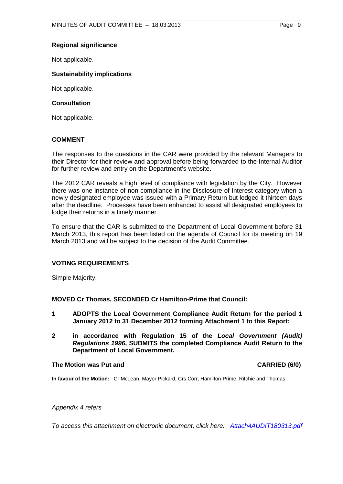# **Regional significance**

Not applicable.

### **Sustainability implications**

Not applicable.

### **Consultation**

Not applicable.

# **COMMENT**

The responses to the questions in the CAR were provided by the relevant Managers to their Director for their review and approval before being forwarded to the Internal Auditor for further review and entry on the Department's website.

The 2012 CAR reveals a high level of compliance with legislation by the City. However there was one instance of non-compliance in the Disclosure of Interest category when a newly designated employee was issued with a Primary Return but lodged it thirteen days after the deadline. Processes have been enhanced to assist all designated employees to lodge their returns in a timely manner.

To ensure that the CAR is submitted to the Department of Local Government before 31 March 2013, this report has been listed on the agenda of Council for its meeting on 19 March 2013 and will be subject to the decision of the Audit Committee.

# **VOTING REQUIREMENTS**

Simple Majority.

# **MOVED Cr Thomas, SECONDED Cr Hamilton-Prime that Council:**

- **1 ADOPTS the Local Government Compliance Audit Return for the period 1 January 2012 to 31 December 2012 forming Attachment 1 to this Report;**
- **2 in accordance with Regulation 15 of the** *Local Government (Audit) Regulations 1996***, SUBMITS the completed Compliance Audit Return to the Department of Local Government.**

#### **The Motion was Put and CARRIED (6/0)**

**In favour of the Motion:** Cr McLean, Mayor Pickard, Crs Corr, Hamilton-Prime, Ritchie and Thomas.

#### *Appendix 4 refers*

*To access this attachment on electronic document, click h[ere: Attach4AUDIT180313.pdf](http://www.joondalup.wa.gov.au/files/committees/AUDT/2013/Attach4AUDIT180313.pdf)*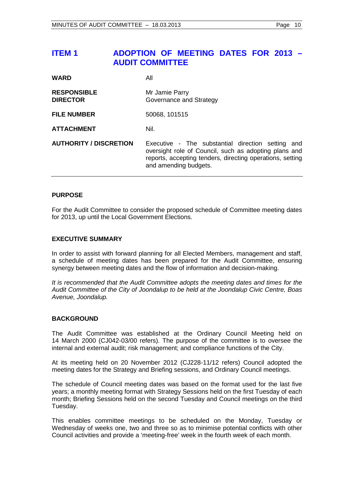# <span id="page-9-0"></span>**ITEM 1 ADOPTION OF MEETING DATES FOR 2013 – AUDIT COMMITTEE**

| <b>WARD</b>                           | All                                                                                                                                                                                              |
|---------------------------------------|--------------------------------------------------------------------------------------------------------------------------------------------------------------------------------------------------|
| <b>RESPONSIBLE</b><br><b>DIRECTOR</b> | Mr Jamie Parry<br>Governance and Strategy                                                                                                                                                        |
| <b>FILE NUMBER</b>                    | 50068, 101515                                                                                                                                                                                    |
| <b>ATTACHMENT</b>                     | Nil.                                                                                                                                                                                             |
| <b>AUTHORITY / DISCRETION</b>         | Executive - The substantial direction setting and<br>oversight role of Council, such as adopting plans and<br>reports, accepting tenders, directing operations, setting<br>and amending budgets. |

# **PURPOSE**

For the Audit Committee to consider the proposed schedule of Committee meeting dates for 2013, up until the Local Government Elections.

# **EXECUTIVE SUMMARY**

In order to assist with forward planning for all Elected Members, management and staff, a schedule of meeting dates has been prepared for the Audit Committee, ensuring synergy between meeting dates and the flow of information and decision-making.

*It is recommended that the Audit Committee adopts the meeting dates and times for the Audit Committee of the City of Joondalup to be held at the Joondalup Civic Centre, Boas Avenue, Joondalup.*

# **BACKGROUND**

The Audit Committee was established at the Ordinary Council Meeting held on 14 March 2000 (CJ042-03/00 refers). The purpose of the committee is to oversee the internal and external audit; risk management; and compliance functions of the City.

At its meeting held on 20 November 2012 (CJ228-11/12 refers) Council adopted the meeting dates for the Strategy and Briefing sessions, and Ordinary Council meetings.

The schedule of Council meeting dates was based on the format used for the last five years; a monthly meeting format with Strategy Sessions held on the first Tuesday of each month; Briefing Sessions held on the second Tuesday and Council meetings on the third Tuesday.

This enables committee meetings to be scheduled on the Monday, Tuesday or Wednesday of weeks one, two and three so as to minimise potential conflicts with other Council activities and provide a 'meeting-free' week in the fourth week of each month.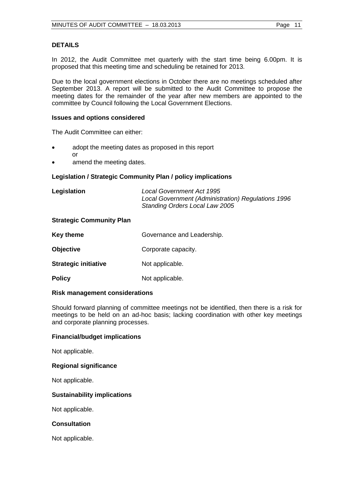# **DETAILS**

In 2012, the Audit Committee met quarterly with the start time being 6.00pm. It is proposed that this meeting time and scheduling be retained for 2013.

Due to the local government elections in October there are no meetings scheduled after September 2013. A report will be submitted to the Audit Committee to propose the meeting dates for the remainder of the year after new members are appointed to the committee by Council following the Local Government Elections.

# **Issues and options considered**

The Audit Committee can either:

- adopt the meeting dates as proposed in this report or
- amend the meeting dates.

# **Legislation / Strategic Community Plan / policy implications**

| Legislation | <b>Local Government Act 1995</b>                   |
|-------------|----------------------------------------------------|
|             | Local Government (Administration) Regulations 1996 |
|             | Standing Orders Local Law 2005                     |

# **Strategic Community Plan**

| <b>Key theme</b>            | Governance and Leadership. |
|-----------------------------|----------------------------|
| <b>Objective</b>            | Corporate capacity.        |
| <b>Strategic initiative</b> | Not applicable.            |
| <b>Policy</b>               | Not applicable.            |

#### **Risk management considerations**

Should forward planning of committee meetings not be identified, then there is a risk for meetings to be held on an ad-hoc basis; lacking coordination with other key meetings and corporate planning processes.

### **Financial/budget implications**

Not applicable.

#### **Regional significance**

Not applicable.

#### **Sustainability implications**

Not applicable.

#### **Consultation**

Not applicable.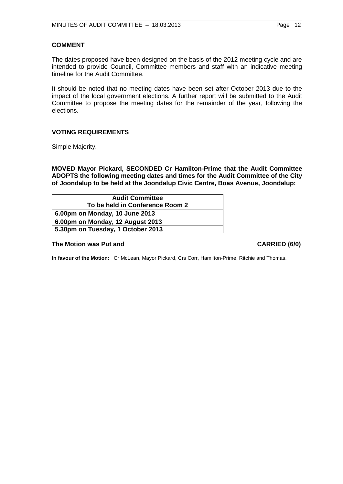# **COMMENT**

The dates proposed have been designed on the basis of the 2012 meeting cycle and are intended to provide Council, Committee members and staff with an indicative meeting timeline for the Audit Committee.

It should be noted that no meeting dates have been set after October 2013 due to the impact of the local government elections. A further report will be submitted to the Audit Committee to propose the meeting dates for the remainder of the year, following the elections.

# **VOTING REQUIREMENTS**

Simple Majority.

**MOVED Mayor Pickard, SECONDED Cr Hamilton-Prime that the Audit Committee ADOPTS the following meeting dates and times for the Audit Committee of the City of Joondalup to be held at the Joondalup Civic Centre, Boas Avenue, Joondalup:**

| <b>Audit Committee</b>            |  |
|-----------------------------------|--|
| To be held in Conference Room 2   |  |
| 6.00pm on Monday, 10 June 2013    |  |
| 6.00pm on Monday, 12 August 2013  |  |
| 5.30pm on Tuesday, 1 October 2013 |  |

#### The Motion was Put and **CARRIED** (6/0)

**In favour of the Motion:** Cr McLean, Mayor Pickard, Crs Corr, Hamilton-Prime, Ritchie and Thomas.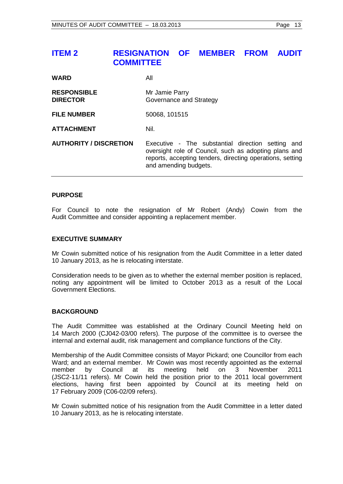# <span id="page-12-0"></span>**ITEM 2 RESIGNATION OF MEMBER FROM AUDIT COMMITTEE**

| <b>WARD</b> | All |
|-------------|-----|
|             |     |

| <b>RESPONSIBLE</b><br><b>DIRECTOR</b> | Mr Jamie Parry<br>Governance and Strategy                                                                                                                                                        |
|---------------------------------------|--------------------------------------------------------------------------------------------------------------------------------------------------------------------------------------------------|
| <b>FILE NUMBER</b>                    | 50068, 101515                                                                                                                                                                                    |
| <b>ATTACHMENT</b>                     | Nil.                                                                                                                                                                                             |
| <b>AUTHORITY / DISCRETION</b>         | Executive - The substantial direction setting and<br>oversight role of Council, such as adopting plans and<br>reports, accepting tenders, directing operations, setting<br>and amending budgets. |

#### **PURPOSE**

For Council to note the resignation of Mr Robert (Andy) Cowin from the Audit Committee and consider appointing a replacement member.

#### **EXECUTIVE SUMMARY**

Mr Cowin submitted notice of his resignation from the Audit Committee in a letter dated 10 January 2013, as he is relocating interstate.

Consideration needs to be given as to whether the external member position is replaced, noting any appointment will be limited to October 2013 as a result of the Local Government Elections.

# **BACKGROUND**

The Audit Committee was established at the Ordinary Council Meeting held on 14 March 2000 (CJ042-03/00 refers). The purpose of the committee is to oversee the internal and external audit, risk management and compliance functions of the City.

Membership of the Audit Committee consists of Mayor Pickard; one Councillor from each Ward; and an external member. Mr Cowin was most recently appointed as the external member by Council at its meeting held on 3 November 2011 (JSC2-11/11 refers). Mr Cowin held the position prior to the 2011 local government elections, having first been appointed by Council at its meeting held on 17 February 2009 (C06-02/09 refers).

Mr Cowin submitted notice of his resignation from the Audit Committee in a letter dated 10 January 2013, as he is relocating interstate.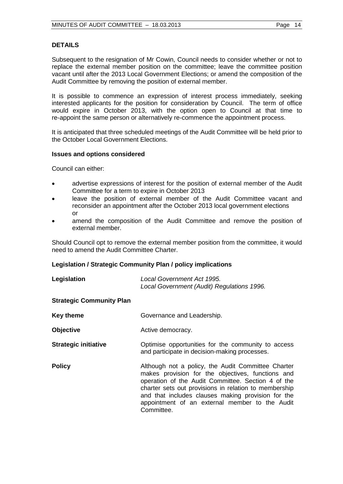# **DETAILS**

Subsequent to the resignation of Mr Cowin, Council needs to consider whether or not to replace the external member position on the committee; leave the committee position vacant until after the 2013 Local Government Elections; or amend the composition of the Audit Committee by removing the position of external member.

It is possible to commence an expression of interest process immediately, seeking interested applicants for the position for consideration by Council. The term of office would expire in October 2013, with the option open to Council at that time to re-appoint the same person or alternatively re-commence the appointment process.

It is anticipated that three scheduled meetings of the Audit Committee will be held prior to the October Local Government Elections.

#### **Issues and options considered**

Council can either:

- advertise expressions of interest for the position of external member of the Audit Committee for a term to expire in October 2013
- leave the position of external member of the Audit Committee vacant and reconsider an appointment after the October 2013 local government elections or
- amend the composition of the Audit Committee and remove the position of external member.

Should Council opt to remove the external member position from the committee, it would need to amend the Audit Committee Charter.

# **Legislation / Strategic Community Plan / policy implications**

| Legislation                     | Local Government Act 1995.<br>Local Government (Audit) Regulations 1996.                                                                                                                                                                                                                                                                     |
|---------------------------------|----------------------------------------------------------------------------------------------------------------------------------------------------------------------------------------------------------------------------------------------------------------------------------------------------------------------------------------------|
| <b>Strategic Community Plan</b> |                                                                                                                                                                                                                                                                                                                                              |
| <b>Key theme</b>                | Governance and Leadership.                                                                                                                                                                                                                                                                                                                   |
| <b>Objective</b>                | Active democracy.                                                                                                                                                                                                                                                                                                                            |
| <b>Strategic initiative</b>     | Optimise opportunities for the community to access<br>and participate in decision-making processes.                                                                                                                                                                                                                                          |
| Policy                          | Although not a policy, the Audit Committee Charter<br>makes provision for the objectives, functions and<br>operation of the Audit Committee. Section 4 of the<br>charter sets out provisions in relation to membership<br>and that includes clauses making provision for the<br>appointment of an external member to the Audit<br>Committee. |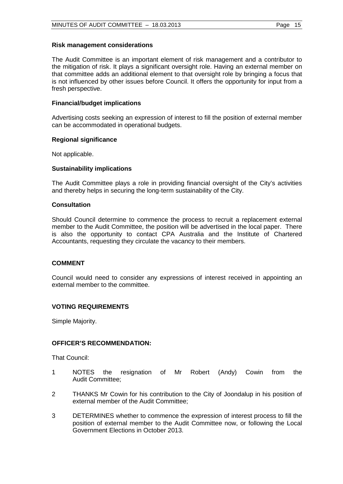### **Risk management considerations**

The Audit Committee is an important element of risk management and a contributor to the mitigation of risk. It plays a significant oversight role. Having an external member on that committee adds an additional element to that oversight role by bringing a focus that is not influenced by other issues before Council. It offers the opportunity for input from a fresh perspective.

# **Financial/budget implications**

Advertising costs seeking an expression of interest to fill the position of external member can be accommodated in operational budgets.

# **Regional significance**

Not applicable.

# **Sustainability implications**

The Audit Committee plays a role in providing financial oversight of the City's activities and thereby helps in securing the long-term sustainability of the City.

#### **Consultation**

Should Council determine to commence the process to recruit a replacement external member to the Audit Committee, the position will be advertised in the local paper. There is also the opportunity to contact CPA Australia and the Institute of Chartered Accountants, requesting they circulate the vacancy to their members.

# **COMMENT**

Council would need to consider any expressions of interest received in appointing an external member to the committee.

# **VOTING REQUIREMENTS**

Simple Majority.

# **OFFICER'S RECOMMENDATION:**

That Council:

- 1 NOTES the resignation of Mr Robert (Andy) Cowin from the Audit Committee;
- 2 THANKS Mr Cowin for his contribution to the City of Joondalup in his position of external member of the Audit Committee;
- 3 DETERMINES whether to commence the expression of interest process to fill the position of external member to the Audit Committee now, or following the Local Government Elections in October 2013.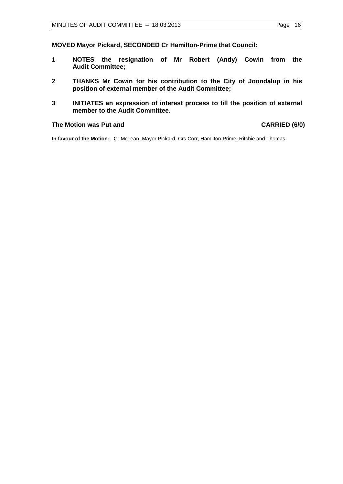**MOVED Mayor Pickard, SECONDED Cr Hamilton-Prime that Council:**

- **1 NOTES the resignation of Mr Robert (Andy) Cowin from the Audit Committee;**
- **2 THANKS Mr Cowin for his contribution to the City of Joondalup in his position of external member of the Audit Committee;**
- **3 INITIATES an expression of interest process to fill the position of external member to the Audit Committee.**

## **The Motion was Put and CARRIED (6/0)**

**In favour of the Motion:** Cr McLean, Mayor Pickard, Crs Corr, Hamilton-Prime, Ritchie and Thomas.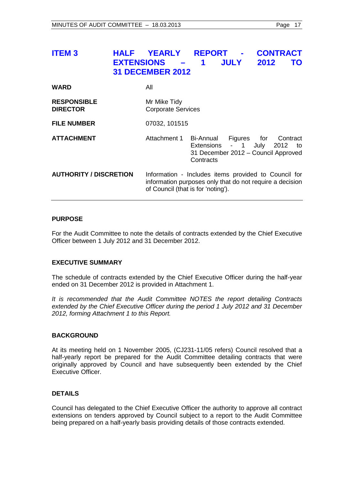# <span id="page-16-0"></span>**ITEM 3 HALF YEARLY REPORT - CONTRACT EXTENSIONS – 1 JULY 2012 TO 31 DECEMBER 2012**

| <b>WARD</b>                           | All                                                                                                                                                    |                                                                              |  |                             |
|---------------------------------------|--------------------------------------------------------------------------------------------------------------------------------------------------------|------------------------------------------------------------------------------|--|-----------------------------|
| <b>RESPONSIBLE</b><br><b>DIRECTOR</b> | Mr Mike Tidy<br><b>Corporate Services</b>                                                                                                              |                                                                              |  |                             |
| <b>FILE NUMBER</b>                    | 07032, 101515                                                                                                                                          |                                                                              |  |                             |
| <b>ATTACHMENT</b>                     | Attachment 1 Bi-Annual                                                                                                                                 | Extensions - 1 July 2012<br>31 December 2012 - Council Approved<br>Contracts |  | Figures for Contract<br>to: |
| <b>AUTHORITY / DISCRETION</b>         | Information - Includes items provided to Council for<br>information purposes only that do not require a decision<br>of Council (that is for 'noting'). |                                                                              |  |                             |

# **PURPOSE**

For the Audit Committee to note the details of contracts extended by the Chief Executive Officer between 1 July 2012 and 31 December 2012.

# **EXECUTIVE SUMMARY**

The schedule of contracts extended by the Chief Executive Officer during the half-year ended on 31 December 2012 is provided in Attachment 1.

*It is recommended that the Audit Committee NOTES the report detailing Contracts extended by the Chief Executive Officer during the period 1 July 2012 and 31 December 2012, forming Attachment 1 to this Report.*

# **BACKGROUND**

At its meeting held on 1 November 2005, (CJ231-11/05 refers) Council resolved that a half-yearly report be prepared for the Audit Committee detailing contracts that were originally approved by Council and have subsequently been extended by the Chief Executive Officer.

# **DETAILS**

Council has delegated to the Chief Executive Officer the authority to approve all contract extensions on tenders approved by Council subject to a report to the Audit Committee being prepared on a half-yearly basis providing details of those contracts extended.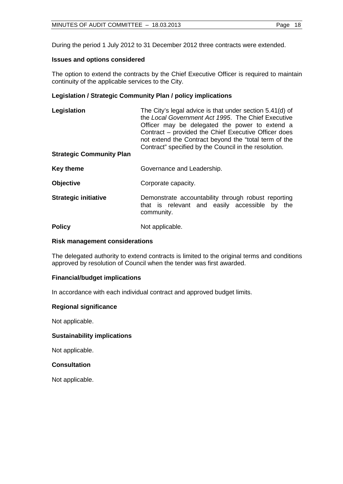During the period 1 July 2012 to 31 December 2012 three contracts were extended.

# **Issues and options considered**

The option to extend the contracts by the Chief Executive Officer is required to maintain continuity of the applicable services to the City.

# **Legislation / Strategic Community Plan / policy implications**

| Legislation                     | The City's legal advice is that under section 5.41(d) of<br>the Local Government Act 1995. The Chief Executive<br>Officer may be delegated the power to extend a<br>Contract - provided the Chief Executive Officer does<br>not extend the Contract beyond the "total term of the<br>Contract" specified by the Council in the resolution. |  |
|---------------------------------|--------------------------------------------------------------------------------------------------------------------------------------------------------------------------------------------------------------------------------------------------------------------------------------------------------------------------------------------|--|
| <b>Strategic Community Plan</b> |                                                                                                                                                                                                                                                                                                                                            |  |
| <b>Key theme</b>                | Governance and Leadership.                                                                                                                                                                                                                                                                                                                 |  |
| <b>Objective</b>                | Corporate capacity.                                                                                                                                                                                                                                                                                                                        |  |
| <b>Strategic initiative</b>     | Demonstrate accountability through robust reporting<br>that is relevant and easily accessible by<br>the<br>community.                                                                                                                                                                                                                      |  |

**Policy** Not applicable.

# **Risk management considerations**

The delegated authority to extend contracts is limited to the original terms and conditions approved by resolution of Council when the tender was first awarded.

# **Financial/budget implications**

In accordance with each individual contract and approved budget limits.

#### **Regional significance**

Not applicable.

#### **Sustainability implications**

Not applicable.

# **Consultation**

Not applicable.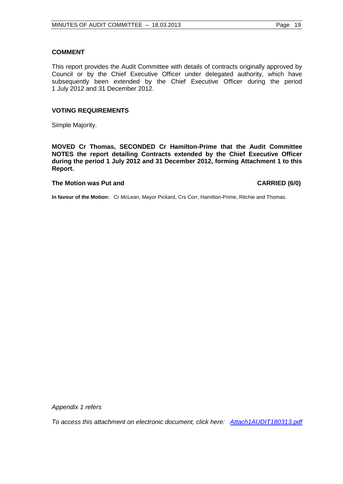### **COMMENT**

This report provides the Audit Committee with details of contracts originally approved by Council or by the Chief Executive Officer under delegated authority, which have subsequently been extended by the Chief Executive Officer during the period 1 July 2012 and 31 December 2012.

# **VOTING REQUIREMENTS**

Simple Majority.

**MOVED Cr Thomas, SECONDED Cr Hamilton-Prime that the Audit Committee NOTES the report detailing Contracts extended by the Chief Executive Officer during the period 1 July 2012 and 31 December 2012, forming Attachment 1 to this Report.**

# **The Motion was Put and CARRIED (6/0)**

**In favour of the Motion:** Cr McLean, Mayor Pickard, Crs Corr, Hamilton-Prime, Ritchie and Thomas.

*Appendix 1 refers*

*To access this attachment on electronic document, click h[ere: Attach1AUDIT180313.pdf](http://www.joondalup.wa.gov.au/files/committees/AUDT/2013/Attach1AUDIT180313.pdf)*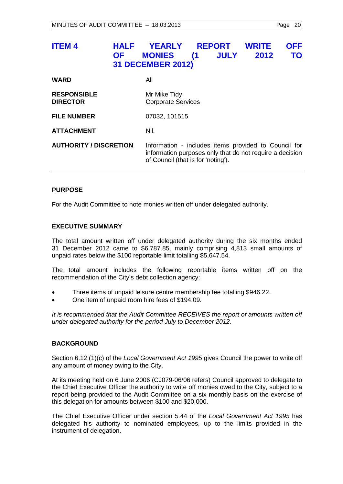# <span id="page-19-0"></span>**ITEM 4 HALF YEARLY REPORT WRITE OFF OF MONIES (1 JULY 2012 TO 31 DECEMBER 2012)**

| WARD                                  | All                                                                                                                                                    |
|---------------------------------------|--------------------------------------------------------------------------------------------------------------------------------------------------------|
| <b>RESPONSIBLE</b><br><b>DIRECTOR</b> | Mr Mike Tidy<br><b>Corporate Services</b>                                                                                                              |
| <b>FILE NUMBER</b>                    | 07032, 101515                                                                                                                                          |
| ATTACHMENT                            | Nil.                                                                                                                                                   |
| <b>AUTHORITY / DISCRETION</b>         | Information - includes items provided to Council for<br>information purposes only that do not require a decision<br>of Council (that is for 'noting'). |

# **PURPOSE**

For the Audit Committee to note monies written off under delegated authority.

# **EXECUTIVE SUMMARY**

The total amount written off under delegated authority during the six months ended 31 December 2012 came to \$6,787.85, mainly comprising 4,813 small amounts of unpaid rates below the \$100 reportable limit totalling \$5,647.54.

The total amount includes the following reportable items written off on the recommendation of the City's debt collection agency:

- Three items of unpaid leisure centre membership fee totalling \$946.22.
- One item of unpaid room hire fees of \$194.09.

It is recommended that the Audit Committee RECEIVES the report of amounts written off *under delegated authority for the period July to December 2012.*

# **BACKGROUND**

Section 6.12 (1)(c) of the *Local Government Act 1995* gives Council the power to write off any amount of money owing to the City.

At its meeting held on 6 June 2006 (CJ079-06/06 refers) Council approved to delegate to the Chief Executive Officer the authority to write off monies owed to the City, subject to a report being provided to the Audit Committee on a six monthly basis on the exercise of this delegation for amounts between \$100 and \$20,000.

The Chief Executive Officer under section 5.44 of the *Local Government Act 1995* has delegated his authority to nominated employees, up to the limits provided in the instrument of delegation.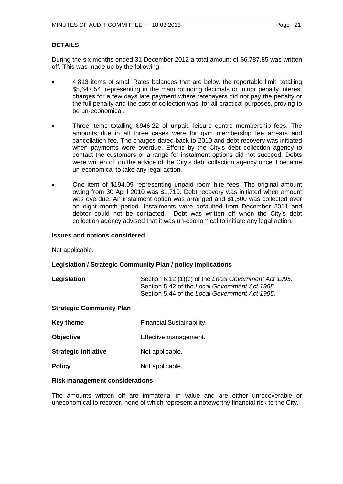# **DETAILS**

During the six months ended 31 December 2012 a total amount of \$6,787.85 was written off. This was made up by the following:

- 4,813 items of small Rates balances that are below the reportable limit, totalling \$5,647.54, representing in the main rounding decimals or minor penalty interest charges for a few days late payment where ratepayers did not pay the penalty or the full penalty and the cost of collection was, for all practical purposes, proving to be un-economical.
- Three items totalling \$946.22 of unpaid leisure centre membership fees. The amounts due in all three cases were for gym membership fee arrears and cancellation fee. The charges dated back to 2010 and debt recovery was initiated when payments were overdue. Efforts by the City's debt collection agency to contact the customers or arrange for instalment options did not succeed. Debts were written off on the advice of the City's debt collection agency once it became un-economical to take any legal action.
- One item of \$194.09 representing unpaid room hire fees. The original amount owing from 30 April 2010 was \$1,719. Debt recovery was initiated when amount was overdue. An instalment option was arranged and \$1,500 was collected over an eight month period. Instalments were defaulted from December 2011 and debtor could not be contacted. Debt was written off when the City's debt collection agency advised that it was un-economical to initiate any legal action.

#### **Issues and options considered**

Not applicable.

#### **Legislation / Strategic Community Plan / policy implications**

**Legislation** Section 6.12 (1)(c) of the *Local Government Act 1995.* Section 5.42 of the *Local Government Act 1995.* Section 5.44 of the *Local Government Act 1995.*

#### **Strategic Community Plan**

| Key theme                   | Financial Sustainability. |
|-----------------------------|---------------------------|
| <b>Objective</b>            | Effective management.     |
| <b>Strategic initiative</b> | Not applicable.           |
| <b>Policy</b>               | Not applicable.           |

#### **Risk management considerations**

The amounts written off are immaterial in value and are either unrecoverable or uneconomical to recover, none of which represent a noteworthy financial risk to the City.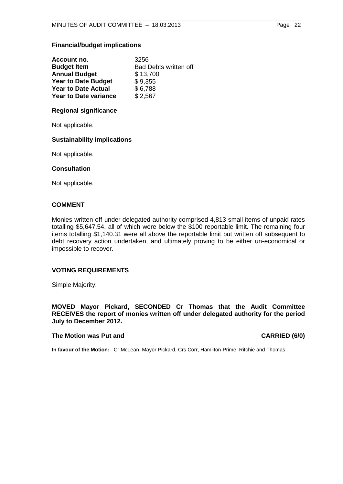# **Financial/budget implications**

| Account no.                  | 3256                         |
|------------------------------|------------------------------|
| <b>Budget Item</b>           | <b>Bad Debts written off</b> |
| <b>Annual Budget</b>         | \$13,700                     |
| <b>Year to Date Budget</b>   | \$9,355                      |
| <b>Year to Date Actual</b>   | \$6,788                      |
| <b>Year to Date variance</b> | \$2,567                      |

# **Regional significance**

Not applicable.

# **Sustainability implications**

Not applicable.

# **Consultation**

Not applicable.

# **COMMENT**

Monies written off under delegated authority comprised 4,813 small items of unpaid rates totalling \$5,647.54, all of which were below the \$100 reportable limit. The remaining four items totalling \$1,140.31 were all above the reportable limit but written off subsequent to debt recovery action undertaken, and ultimately proving to be either un-economical or impossible to recover.

# **VOTING REQUIREMENTS**

Simple Majority.

**MOVED Mayor Pickard, SECONDED Cr Thomas that the Audit Committee RECEIVES the report of monies written off under delegated authority for the period July to December 2012.**

#### The Motion was Put and **CARRIED** (6/0)

**In favour of the Motion:** Cr McLean, Mayor Pickard, Crs Corr, Hamilton-Prime, Ritchie and Thomas.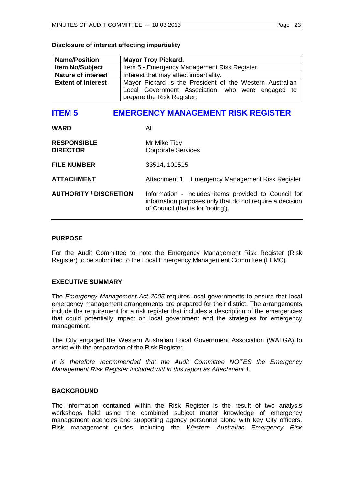| <b>Name/Position</b>      | <b>Mayor Troy Pickard.</b>                                                                                                                  |
|---------------------------|---------------------------------------------------------------------------------------------------------------------------------------------|
| <b>Item No/Subject</b>    | Item 5 - Emergency Management Risk Register.                                                                                                |
| <b>Nature of interest</b> | Interest that may affect impartiality.                                                                                                      |
| <b>Extent of Interest</b> | Mayor Pickard is the President of the Western Australian<br>Local Government Association, who were engaged to<br>prepare the Risk Register. |

### **Disclosure of interest affecting impartiality**

# <span id="page-22-0"></span>**ITEM 5 EMERGENCY MANAGEMENT RISK REGISTER**

| <b>WARD</b>                           | All                                                                                                                                                    |
|---------------------------------------|--------------------------------------------------------------------------------------------------------------------------------------------------------|
| <b>RESPONSIBLE</b><br><b>DIRECTOR</b> | Mr Mike Tidy<br><b>Corporate Services</b>                                                                                                              |
| <b>FILE NUMBER</b>                    | 33514, 101515                                                                                                                                          |
| <b>ATTACHMENT</b>                     | <b>Emergency Management Risk Register</b><br>Attachment 1                                                                                              |
| <b>AUTHORITY / DISCRETION</b>         | Information - includes items provided to Council for<br>information purposes only that do not require a decision<br>of Council (that is for 'noting'). |

# **PURPOSE**

For the Audit Committee to note the Emergency Management Risk Register (Risk Register) to be submitted to the Local Emergency Management Committee (LEMC).

# **EXECUTIVE SUMMARY**

The *Emergency Management Act 2005* requires local governments to ensure that local emergency management arrangements are prepared for their district. The arrangements include the requirement for a risk register that includes a description of the emergencies that could potentially impact on local government and the strategies for emergency management.

The City engaged the Western Australian Local Government Association (WALGA) to assist with the preparation of the Risk Register.

*It is therefore recommended that the Audit Committee NOTES the Emergency Management Risk Register included within this report as Attachment 1.*

#### **BACKGROUND**

The information contained within the Risk Register is the result of two analysis workshops held using the combined subject matter knowledge of emergency management agencies and supporting agency personnel along with key City officers. Risk management guides including the *Western Australian Emergency Risk*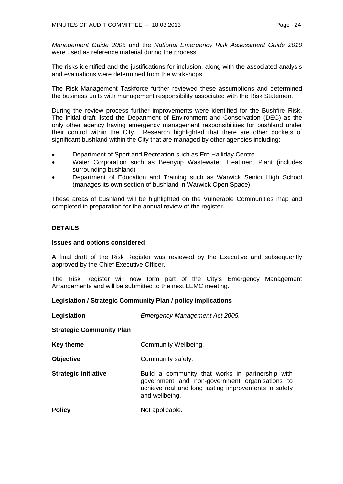*Management Guide 2005* and the *National Emergency Risk Assessment Guide 2010*  were used as reference material during the process.

The risks identified and the justifications for inclusion, along with the associated analysis and evaluations were determined from the workshops.

The Risk Management Taskforce further reviewed these assumptions and determined the business units with management responsibility associated with the Risk Statement.

During the review process further improvements were identified for the Bushfire Risk. The initial draft listed the Department of Environment and Conservation (DEC) as the only other agency having emergency management responsibilities for bushland under their control within the City. Research highlighted that there are other pockets of significant bushland within the City that are managed by other agencies including:

- Department of Sport and Recreation such as Ern Halliday Centre
- Water Corporation such as Beenyup Wastewater Treatment Plant (includes surrounding bushland)
- Department of Education and Training such as Warwick Senior High School (manages its own section of bushland in Warwick Open Space).

These areas of bushland will be highlighted on the Vulnerable Communities map and completed in preparation for the annual review of the register.

# **DETAILS**

#### **Issues and options considered**

A final draft of the Risk Register was reviewed by the Executive and subsequently approved by the Chief Executive Officer.

The Risk Register will now form part of the City's Emergency Management Arrangements and will be submitted to the next LEMC meeting.

#### **Legislation / Strategic Community Plan / policy implications**

**Legislation** *Emergency Management Act 2005.*

#### **Strategic Community Plan**

**Key theme Community Wellbeing.** 

**Objective Community safety.** 

- **Strategic initiative Build a community that works in partnership with** government and non-government organisations to achieve real and long lasting improvements in safety and wellbeing.
- **Policy** Not applicable.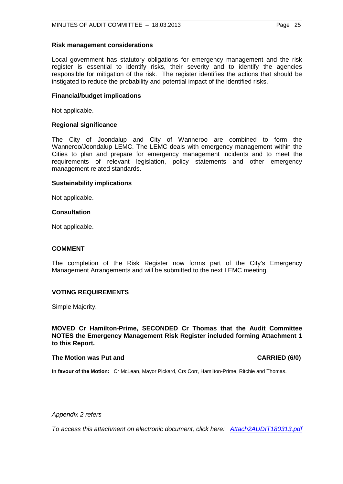### **Risk management considerations**

Local government has statutory obligations for emergency management and the risk register is essential to identify risks, their severity and to identify the agencies responsible for mitigation of the risk. The register identifies the actions that should be instigated to reduce the probability and potential impact of the identified risks.

# **Financial/budget implications**

Not applicable.

# **Regional significance**

The City of Joondalup and City of Wanneroo are combined to form the Wanneroo/Joondalup LEMC. The LEMC deals with emergency management within the Cities to plan and prepare for emergency management incidents and to meet the requirements of relevant legislation, policy statements and other emergency management related standards.

#### **Sustainability implications**

Not applicable.

# **Consultation**

Not applicable.

# **COMMENT**

The completion of the Risk Register now forms part of the City's Emergency Management Arrangements and will be submitted to the next LEMC meeting.

# **VOTING REQUIREMENTS**

Simple Majority.

**MOVED Cr Hamilton-Prime, SECONDED Cr Thomas that the Audit Committee NOTES the Emergency Management Risk Register included forming Attachment 1 to this Report.**

#### **The Motion was Put and CARRIED (6/0) CARRIED (6/0)**

**In favour of the Motion:** Cr McLean, Mayor Pickard, Crs Corr, Hamilton-Prime, Ritchie and Thomas.

*Appendix 2 refers*

*To access this attachment on electronic document, click [here: Attach2AUDIT180313.pdf](http://www.joondalup.wa.gov.au/files/committees/AUDT/2013/Attach2AUDIT180313.pdf)*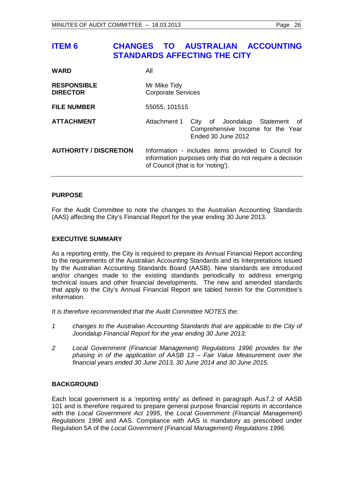# <span id="page-25-0"></span>**ITEM 6 CHANGES TO AUSTRALIAN ACCOUNTING STANDARDS AFFECTING THE CITY**

| <b>WARD</b>                           | All                                                                                                                                                    |
|---------------------------------------|--------------------------------------------------------------------------------------------------------------------------------------------------------|
| <b>RESPONSIBLE</b><br><b>DIRECTOR</b> | Mr Mike Tidy<br><b>Corporate Services</b>                                                                                                              |
| <b>FILE NUMBER</b>                    | 55055, 101515                                                                                                                                          |
| <b>ATTACHMENT</b>                     | Attachment 1<br>City of Joondalup Statement<br>of<br>Comprehensive Income for the Year<br>Ended 30 June 2012                                           |
| <b>AUTHORITY / DISCRETION</b>         | Information - includes items provided to Council for<br>information purposes only that do not require a decision<br>of Council (that is for 'noting'). |

# **PURPOSE**

For the Audit Committee to note the changes to the Australian Accounting Standards (AAS) affecting the City's Financial Report for the year ending 30 June 2013.

# **EXECUTIVE SUMMARY**

As a reporting entity, the City is required to prepare its Annual Financial Report according to the requirements of the Australian Accounting Standards and its Interpretations issued by the Australian Accounting Standards Board (AASB). New standards are introduced and/or changes made to the existing standards periodically to address emerging technical issues and other financial developments. The new and amended standards that apply to the City's Annual Financial Report are tabled herein for the Committee's information.

*It is therefore recommended that the Audit Committee NOTES the:*

- *1 changes to the Australian Accounting Standards that are applicable to the City of Joondalup Financial Report for the year ending 30 June 2013;*
- *2 Local Government (Financial Management) Regulations 1996 provides for the phasing in of the application of AASB 13 – Fair Value Measurement over the financial years ended 30 June 2013, 30 June 2014 and 30 June 2015.*

# **BACKGROUND**

Each local government is a 'reporting entity' as defined in paragraph Aus7.2 of AASB 101 and is therefore required to prepare general purpose financial reports in accordance with the *Local Government Act 1995*, the *Local Government (Financial Management) Regulations 1996* and AAS. Compliance with AAS is mandatory as prescribed under Regulation 5A of the *Local Government (Financial Management) Regulations 1996.*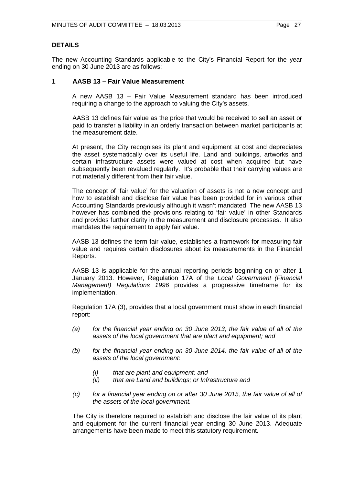# **DETAILS**

The new Accounting Standards applicable to the City's Financial Report for the year ending on 30 June 2013 are as follows:

# **1 AASB 13 – Fair Value Measurement**

A new AASB 13 – Fair Value Measurement standard has been introduced requiring a change to the approach to valuing the City's assets.

AASB 13 defines fair value as the price that would be received to sell an asset or paid to transfer a liability in an orderly transaction between market participants at the measurement date.

At present, the City recognises its plant and equipment at cost and depreciates the asset systematically over its useful life. Land and buildings, artworks and certain infrastructure assets were valued at cost when acquired but have subsequently been revalued regularly. It's probable that their carrying values are not materially different from their fair value.

The concept of 'fair value' for the valuation of assets is not a new concept and how to establish and disclose fair value has been provided for in various other Accounting Standards previously although it wasn't mandated. The new AASB 13 however has combined the provisions relating to 'fair value' in other Standards and provides further clarity in the measurement and disclosure processes. It also mandates the requirement to apply fair value.

AASB 13 defines the term fair value, establishes a framework for measuring fair value and requires certain disclosures about its measurements in the Financial Reports.

AASB 13 is applicable for the annual reporting periods beginning on or after 1 January 2013. However, Regulation 17A of the *Local Government (Financial Management) Regulations 1996* provides a progressive timeframe for its implementation.

Regulation 17A (3), provides that a local government must show in each financial report:

- *(a) for the financial year ending on 30 June 2013, the fair value of all of the assets of the local government that are plant and equipment; and*
- *(b) for the financial year ending on 30 June 2014, the fair value of all of the assets of the local government:*
	- *(i) that are plant and equipment; and*
	- *(ii) that are Land and buildings; or Infrastructure and*
- *(c) for a financial year ending on or after 30 June 2015, the fair value of all of the assets of the local government.*

The City is therefore required to establish and disclose the fair value of its plant and equipment for the current financial year ending 30 June 2013. Adequate arrangements have been made to meet this statutory requirement.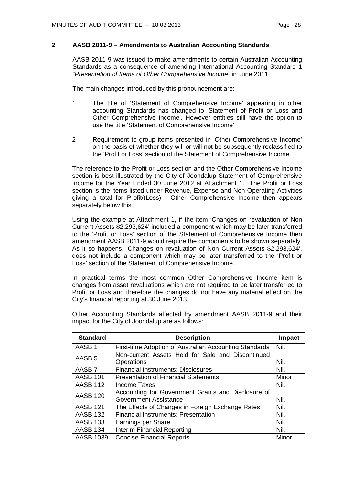# **2 AASB 2011-9 – Amendments to Australian Accounting Standards**

AASB 2011-9 was issued to make amendments to certain Australian Accounting Standards as a consequence of amending International Accounting Standard 1 *"Presentation of Items of Other Comprehensive Income"* in June 2011.

The main changes introduced by this pronouncement are:

- 1 The title of 'Statement of Comprehensive Income' appearing in other accounting Standards has changed to 'Statement of Profit or Loss and Other Comprehensive Income'. However entities still have the option to use the title 'Statement of Comprehensive Income'.
- 2 Requirement to group items presented in 'Other Comprehensive Income' on the basis of whether they will or will not be subsequently reclassified to the 'Profit or Loss' section of the Statement of Comprehensive Income.

The reference to the Profit or Loss section and the Other Comprehensive Income section is best illustrated by the City of Joondalup Statement of Comprehensive Income for the Year Ended 30 June 2012 at Attachment 1. The Profit or Loss section is the items listed under Revenue, Expense and Non-Operating Activities giving a total for Profit/(Loss). Other Comprehensive Income then appears separately below this.

Using the example at Attachment 1, if the item 'Changes on revaluation of Non Current Assets \$2,293,624' included a component which may be later transferred to the 'Profit or Loss' section of the Statement of Comprehensive Income then amendment AASB 2011-9 would require the components to be shown separately. As it so happens, 'Changes on revaluation of Non Current Assets \$2,293,624', does not include a component which may be later transferred to the 'Profit or Loss' section of the Statement of Comprehensive Income.

In practical terms the most common Other Comprehensive Income item is changes from asset revaluations which are not required to be later transferred to Profit or Loss and therefore the changes do not have any material effect on the City's financial reporting at 30 June 2013.

| <b>Standard</b>   | <b>Description</b>                                      | <b>Impact</b> |
|-------------------|---------------------------------------------------------|---------------|
| AASB <sub>1</sub> | First-time Adoption of Australian Accounting Standards  | Nil.          |
| AASB <sub>5</sub> | Non-current Assets Held for Sale and Discontinued       | Nil.          |
| AASB <sub>7</sub> | Operations<br><b>Financial Instruments: Disclosures</b> | Nil.          |
| <b>AASB 101</b>   | <b>Presentation of Financial Statements</b>             | Minor.        |
| <b>AASB 112</b>   | Income Taxes                                            | Nil.          |
| <b>AASB 120</b>   | Accounting for Government Grants and Disclosure of      |               |
|                   | <b>Government Assistance</b>                            | Nil.          |
| <b>AASB 121</b>   | The Effects of Changes in Foreign Exchange Rates        | Nil.          |
| <b>AASB 132</b>   | <b>Financial Instruments: Presentation</b>              | Nil.          |
| <b>AASB 133</b>   | Earnings per Share                                      | Nil.          |
| <b>AASB 134</b>   | <b>Interim Financial Reporting</b>                      | Nil.          |
| <b>AASB 1039</b>  | <b>Concise Financial Reports</b>                        | Minor.        |

Other Accounting Standards affected by amendment AASB 2011-9 and their impact for the City of Joondalup are as follows: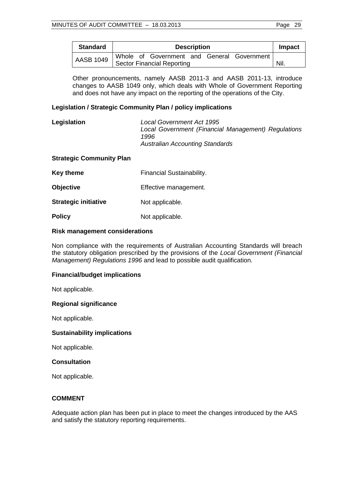| <b>Standard</b>  | <b>Description</b>                         | Impact |
|------------------|--------------------------------------------|--------|
| <b>AASB 1049</b> | Whole of Government and General Government |        |
|                  | <b>Sector Financial Reporting</b>          | Nil.   |

Other pronouncements, namely AASB 2011-3 and AASB 2011-13, introduce changes to AASB 1049 only, which deals with Whole of Government Reporting and does not have any impact on the reporting of the operations of the City.

# **Legislation / Strategic Community Plan / policy implications**

| Legislation | Local Government Act 1995                           |
|-------------|-----------------------------------------------------|
|             | Local Government (Financial Management) Regulations |
|             | 1996                                                |
|             | <b>Australian Accounting Standards</b>              |

#### **Strategic Community Plan**

| Key theme | <b>Financial Sustainability.</b> |
|-----------|----------------------------------|
|-----------|----------------------------------|

**Objective** Effective management.

**Strategic initiative** Not applicable.

**Policy** Not applicable.

#### **Risk management considerations**

Non compliance with the requirements of Australian Accounting Standards will breach the statutory obligation prescribed by the provisions of the *Local Government (Financial Management) Regulations 1996* and lead to possible audit qualification.

#### **Financial/budget implications**

Not applicable.

#### **Regional significance**

Not applicable.

#### **Sustainability implications**

Not applicable.

# **Consultation**

Not applicable.

#### **COMMENT**

Adequate action plan has been put in place to meet the changes introduced by the AAS and satisfy the statutory reporting requirements.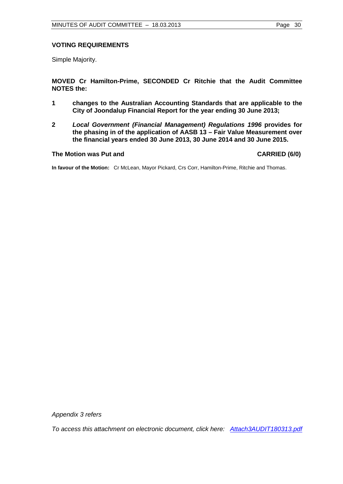# **VOTING REQUIREMENTS**

Simple Majority.

**MOVED Cr Hamilton-Prime, SECONDED Cr Ritchie that the Audit Committee NOTES the:**

- **1 changes to the Australian Accounting Standards that are applicable to the City of Joondalup Financial Report for the year ending 30 June 2013;**
- **2** *Local Government (Financial Management) Regulations 1996* **provides for the phasing in of the application of AASB 13 – Fair Value Measurement over the financial years ended 30 June 2013, 30 June 2014 and 30 June 2015.**

#### **The Motion was Put and CARRIED (6/0)**

**In favour of the Motion:** Cr McLean, Mayor Pickard, Crs Corr, Hamilton-Prime, Ritchie and Thomas.

*Appendix 3 refers*

*To access this attachment on electronic document, click her[e: Attach3AUDIT180313.pdf](http://www.joondalup.wa.gov.au/files/committees/AUDT/2013/Attach3AUDIT180313.pdf)*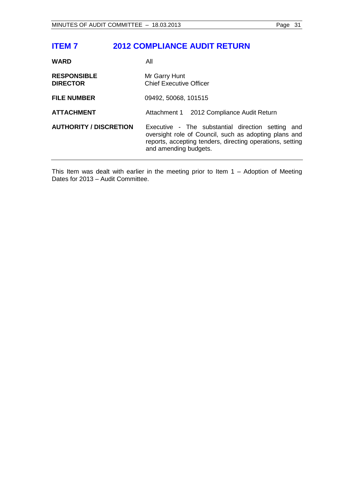# <span id="page-30-0"></span>**ITEM 7 2012 COMPLIANCE AUDIT RETURN**

| <b>WARD</b>                           | All                                                                                                                                                                                              |
|---------------------------------------|--------------------------------------------------------------------------------------------------------------------------------------------------------------------------------------------------|
| <b>RESPONSIBLE</b><br><b>DIRECTOR</b> | Mr Garry Hunt<br><b>Chief Executive Officer</b>                                                                                                                                                  |
| <b>FILE NUMBER</b>                    | 09492, 50068, 101515                                                                                                                                                                             |
| <b>ATTACHMENT</b>                     | Attachment 1 2012 Compliance Audit Return                                                                                                                                                        |
| <b>AUTHORITY / DISCRETION</b>         | Executive - The substantial direction setting and<br>oversight role of Council, such as adopting plans and<br>reports, accepting tenders, directing operations, setting<br>and amending budgets. |

This Item was dealt with earlier in the meeting prior to Item 1 – Adoption of Meeting Dates for 2013 – Audit Committee.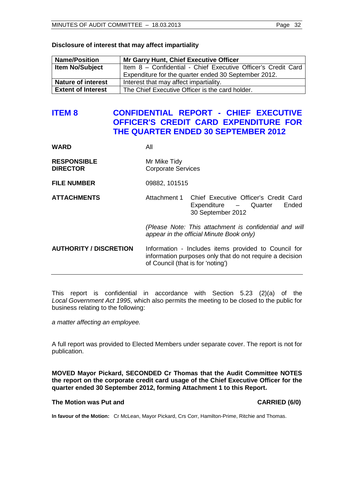| Disclosure of interest that may affect impartiality |  |  |  |  |  |  |  |
|-----------------------------------------------------|--|--|--|--|--|--|--|
|-----------------------------------------------------|--|--|--|--|--|--|--|

| <b>Name/Position</b>      | Mr Garry Hunt, Chief Executive Officer                        |
|---------------------------|---------------------------------------------------------------|
| <b>Item No/Subject</b>    | Item 8 - Confidential - Chief Executive Officer's Credit Card |
|                           | Expenditure for the quarter ended 30 September 2012.          |
| <b>Nature of interest</b> | Interest that may affect impartiality.                        |
| <b>Extent of Interest</b> | The Chief Executive Officer is the card holder.               |

# <span id="page-31-0"></span>**ITEM 8 CONFIDENTIAL REPORT - CHIEF EXECUTIVE OFFICER'S CREDIT CARD EXPENDITURE FOR THE QUARTER ENDED 30 SEPTEMBER 2012**

#### **WARD** All

| <b>RESPONSIBLE</b> | Mr Mike Tidy              |
|--------------------|---------------------------|
| <b>DIRECTOR</b>    | <b>Corporate Services</b> |

**FILE NUMBER** 09882, 101515

**ATTACHMENTS** Attachment 1 Chief Executive Officer's Credit Card Expenditure – Quarter Ended 30 September 2012

> *(Please Note: This attachment is confidential and will appear in the official Minute Book only)*

**AUTHORITY / DISCRETION** Information - Includes items provided to Council for information purposes only that do not require a decision of Council (that is for 'noting')

This report is confidential in accordance with Section 5.23 (2)(a) of the *Local Government Act 1995*, which also permits the meeting to be closed to the public for business relating to the following:

*a matter affecting an employee.*

A full report was provided to Elected Members under separate cover. The report is not for publication.

**MOVED Mayor Pickard, SECONDED Cr Thomas that the Audit Committee NOTES the report on the corporate credit card usage of the Chief Executive Officer for the quarter ended 30 September 2012, forming Attachment 1 to this Report.**

# **The Motion was Put and CARRIED (6/0)**

**In favour of the Motion:** Cr McLean, Mayor Pickard, Crs Corr, Hamilton-Prime, Ritchie and Thomas.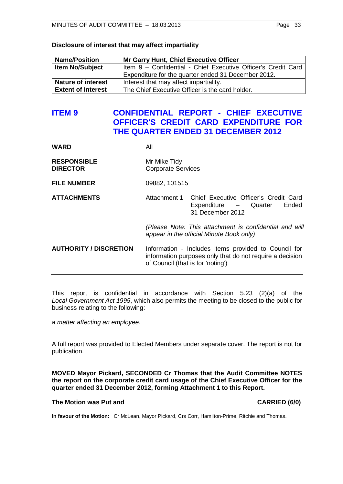| Disclosure of interest that may affect impartiality |  |
|-----------------------------------------------------|--|
|-----------------------------------------------------|--|

| <b>Name/Position</b>      | <b>Mr Garry Hunt, Chief Executive Officer</b>                 |
|---------------------------|---------------------------------------------------------------|
| <b>Item No/Subject</b>    | Item 9 - Confidential - Chief Executive Officer's Credit Card |
|                           | Expenditure for the quarter ended 31 December 2012.           |
| <b>Nature of interest</b> | Interest that may affect impartiality.                        |
| <b>Extent of Interest</b> | The Chief Executive Officer is the card holder.               |

# <span id="page-32-0"></span>**ITEM 9 CONFIDENTIAL REPORT - CHIEF EXECUTIVE OFFICER'S CREDIT CARD EXPENDITURE FOR THE QUARTER ENDED 31 DECEMBER 2012**

#### **WARD** All

| <b>RESPONSIBLE</b> | Mr Mike Tidy              |
|--------------------|---------------------------|
| <b>DIRECTOR</b>    | <b>Corporate Services</b> |

**FILE NUMBER** 09882, 101515

**ATTACHMENTS** Attachment 1 Chief Executive Officer's Credit Card Expenditure – Quarter Ended 31 December 2012

> *(Please Note: This attachment is confidential and will appear in the official Minute Book only)*

**AUTHORITY / DISCRETION** Information - Includes items provided to Council for information purposes only that do not require a decision of Council (that is for 'noting')

This report is confidential in accordance with Section 5.23 (2)(a) of the *Local Government Act 1995*, which also permits the meeting to be closed to the public for business relating to the following:

*a matter affecting an employee.*

A full report was provided to Elected Members under separate cover. The report is not for publication.

**MOVED Mayor Pickard, SECONDED Cr Thomas that the Audit Committee NOTES the report on the corporate credit card usage of the Chief Executive Officer for the quarter ended 31 December 2012, forming Attachment 1 to this Report.**

#### **The Motion was Put and CARRIED (6/0) CARRIED (6/0)**

**In favour of the Motion:** Cr McLean, Mayor Pickard, Crs Corr, Hamilton-Prime, Ritchie and Thomas.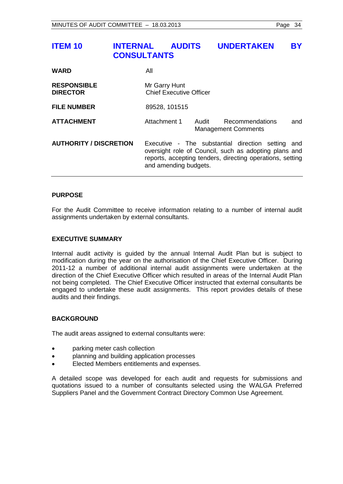# <span id="page-33-0"></span>**ITEM 10 INTERNAL AUDITS UNDERTAKEN BY CONSULTANTS**

| <b>WARD</b>                           | All                                             |       |                                                                                                                                                                         |     |
|---------------------------------------|-------------------------------------------------|-------|-------------------------------------------------------------------------------------------------------------------------------------------------------------------------|-----|
| <b>RESPONSIBLE</b><br><b>DIRECTOR</b> | Mr Garry Hunt<br><b>Chief Executive Officer</b> |       |                                                                                                                                                                         |     |
| <b>FILE NUMBER</b>                    | 89528, 101515                                   |       |                                                                                                                                                                         |     |
| <b>ATTACHMENT</b>                     | Attachment 1                                    | Audit | Recommendations<br><b>Management Comments</b>                                                                                                                           | and |
| <b>AUTHORITY / DISCRETION</b>         | and amending budgets.                           |       | Executive - The substantial direction setting and<br>oversight role of Council, such as adopting plans and<br>reports, accepting tenders, directing operations, setting |     |

# **PURPOSE**

For the Audit Committee to receive information relating to a number of internal audit assignments undertaken by external consultants.

### **EXECUTIVE SUMMARY**

Internal audit activity is guided by the annual Internal Audit Plan but is subject to modification during the year on the authorisation of the Chief Executive Officer. During 2011-12 a number of additional internal audit assignments were undertaken at the direction of the Chief Executive Officer which resulted in areas of the Internal Audit Plan not being completed. The Chief Executive Officer instructed that external consultants be engaged to undertake these audit assignments. This report provides details of these audits and their findings.

#### **BACKGROUND**

The audit areas assigned to external consultants were:

- parking meter cash collection
- planning and building application processes
- Elected Members entitlements and expenses.

A detailed scope was developed for each audit and requests for submissions and quotations issued to a number of consultants selected using the WALGA Preferred Suppliers Panel and the Government Contract Directory Common Use Agreement.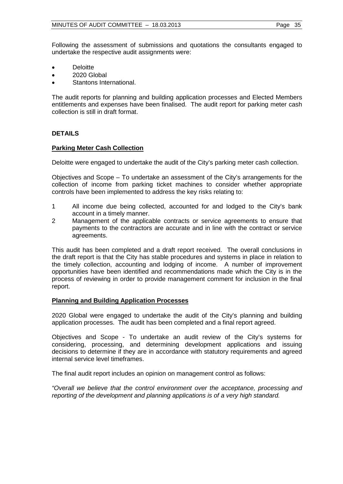Following the assessment of submissions and quotations the consultants engaged to undertake the respective audit assignments were:

- Deloitte
- 2020 Global
- Stantons International.

The audit reports for planning and building application processes and Elected Members entitlements and expenses have been finalised. The audit report for parking meter cash collection is still in draft format.

# **DETAILS**

# **Parking Meter Cash Collection**

Deloitte were engaged to undertake the audit of the City's parking meter cash collection.

Objectives and Scope – To undertake an assessment of the City's arrangements for the collection of income from parking ticket machines to consider whether appropriate controls have been implemented to address the key risks relating to:

- 1 All income due being collected, accounted for and lodged to the City's bank account in a timely manner.
- 2 Management of the applicable contracts or service agreements to ensure that payments to the contractors are accurate and in line with the contract or service agreements.

This audit has been completed and a draft report received. The overall conclusions in the draft report is that the City has stable procedures and systems in place in relation to the timely collection, accounting and lodging of income. A number of improvement opportunities have been identified and recommendations made which the City is in the process of reviewing in order to provide management comment for inclusion in the final report.

# **Planning and Building Application Processes**

2020 Global were engaged to undertake the audit of the City's planning and building application processes. The audit has been completed and a final report agreed.

Objectives and Scope - To undertake an audit review of the City's systems for considering, processing, and determining development applications and issuing decisions to determine if they are in accordance with statutory requirements and agreed internal service level timeframes.

The final audit report includes an opinion on management control as follows:

*"Overall we believe that the control environment over the acceptance, processing and reporting of the development and planning applications is of a very high standard.*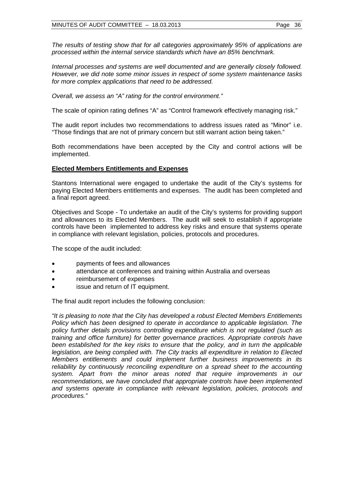*The results of testing show that for all categories approximately 95% of applications are processed within the internal service standards which have an 85% benchmark.*

*Internal processes and systems are well documented and are generally closely followed. However, we did note some minor issues in respect of some system maintenance tasks for more complex applications that need to be addressed.*

*Overall, we assess an "A" rating for the control environment."* 

The scale of opinion rating defines "A" as "Control framework effectively managing risk."

The audit report includes two recommendations to address issues rated as "Minor" i.e. "Those findings that are not of primary concern but still warrant action being taken."

Both recommendations have been accepted by the City and control actions will be implemented.

# **Elected Members Entitlements and Expenses**

Stantons International were engaged to undertake the audit of the City's systems for paying Elected Members entitlements and expenses. The audit has been completed and a final report agreed.

Objectives and Scope - To undertake an audit of the City's systems for providing support and allowances to its Elected Members. The audit will seek to establish if appropriate controls have been implemented to address key risks and ensure that systems operate in compliance with relevant legislation, policies, protocols and procedures.

The scope of the audit included:

- payments of fees and allowances
- attendance at conferences and training within Australia and overseas
- reimbursement of expenses
- issue and return of IT equipment.

The final audit report includes the following conclusion:

*"It is pleasing to note that the City has developed a robust Elected Members Entitlements Policy which has been designed to operate in accordance to applicable legislation. The policy further details provisions controlling expenditure which is not regulated (such as training and office furniture) for better governance practices. Appropriate controls have been established for the key risks to ensure that the policy, and in turn the applicable legislation, are being complied with. The City tracks all expenditure in relation to Elected Members entitlements and could implement further business improvements in its reliability by continuously reconciling expenditure on a spread sheet to the accounting system. Apart from the minor areas noted that require improvements in our recommendations, we have concluded that appropriate controls have been implemented and systems operate in compliance with relevant legislation, policies, protocols and procedures."*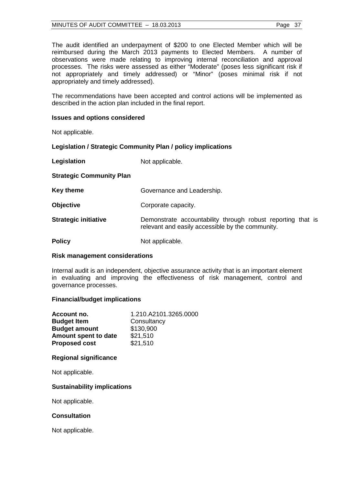### MINUTES OF AUDIT COMMITTEE  $-18.03.2013$  Page 37

The audit identified an underpayment of \$200 to one Elected Member which will be reimbursed during the March 2013 payments to Elected Members. A number of observations were made relating to improving internal reconciliation and approval processes. The risks were assessed as either "Moderate" (poses less significant risk if not appropriately and timely addressed) or "Minor" (poses minimal risk if not appropriately and timely addressed).

The recommendations have been accepted and control actions will be implemented as described in the action plan included in the final report.

# **Issues and options considered**

Not applicable.

# **Legislation / Strategic Community Plan / policy implications**

| Legislation                     | Not applicable.                                                                                                 |
|---------------------------------|-----------------------------------------------------------------------------------------------------------------|
| <b>Strategic Community Plan</b> |                                                                                                                 |
| Key theme                       | Governance and Leadership.                                                                                      |
| <b>Objective</b>                | Corporate capacity.                                                                                             |
| <b>Strategic initiative</b>     | Demonstrate accountability through robust reporting that is<br>relevant and easily accessible by the community. |
| <b>Policy</b>                   | Not applicable.                                                                                                 |

#### **Risk management considerations**

Internal audit is an independent, objective assurance activity that is an important element in evaluating and improving the effectiveness of risk management, control and governance processes.

#### **Financial/budget implications**

| Account no.          | 1.210.A2101.3265.0000 |
|----------------------|-----------------------|
| <b>Budget Item</b>   | Consultancy           |
| <b>Budget amount</b> | \$130,900             |
| Amount spent to date | \$21,510              |
| <b>Proposed cost</b> | \$21,510              |

#### **Regional significance**

Not applicable.

## **Sustainability implications**

Not applicable.

#### **Consultation**

Not applicable.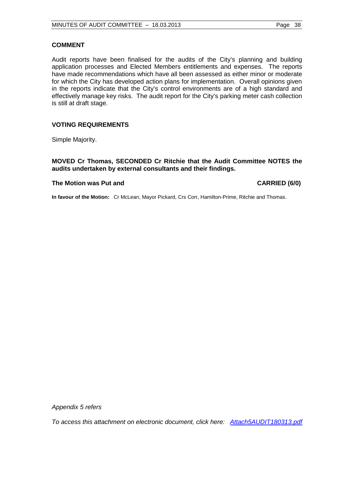# **COMMENT**

Audit reports have been finalised for the audits of the City's planning and building application processes and Elected Members entitlements and expenses. The reports have made recommendations which have all been assessed as either minor or moderate for which the City has developed action plans for implementation. Overall opinions given in the reports indicate that the City's control environments are of a high standard and effectively manage key risks. The audit report for the City's parking meter cash collection is still at draft stage.

# **VOTING REQUIREMENTS**

Simple Majority.

**MOVED Cr Thomas, SECONDED Cr Ritchie that the Audit Committee NOTES the audits undertaken by external consultants and their findings.**

# **The Motion was Put and CARRIED (6/0)**

**In favour of the Motion:** Cr McLean, Mayor Pickard, Crs Corr, Hamilton-Prime, Ritchie and Thomas.

*Appendix 5 refers*

*To access this attachment on electronic document, click [here: Attach5AUDIT180313.pdf](http://www.joondalup.wa.gov.au/files/committees/AUDT/2013/Attach5AUDIT180313.pdf)*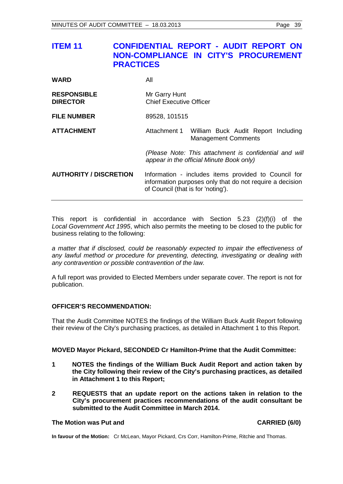# <span id="page-38-0"></span>**ITEM 11 CONFIDENTIAL REPORT - AUDIT REPORT ON NON-COMPLIANCE IN CITY'S PROCUREMENT PRACTICES**

| <b>WARD</b> | All |
|-------------|-----|
|             |     |

| <b>RESPONSIBLE</b> | Mr Garry Hunt                  |
|--------------------|--------------------------------|
| <b>DIRECTOR</b>    | <b>Chief Executive Officer</b> |
| <b>FILE NUMBER</b> | 89528, 101515                  |

**ATTACHMENT** Attachment 1 William Buck Audit Report Including Management Comments

> *(Please Note: This attachment is confidential and will appear in the official Minute Book only)*

**AUTHORITY / DISCRETION** Information - includes items provided to Council for information purposes only that do not require a decision of Council (that is for 'noting').

This report is confidential in accordance with Section 5.23 (2)(f)(i) of the *Local Government Act 1995*, which also permits the meeting to be closed to the public for business relating to the following:

*a matter that if disclosed, could be reasonably expected to impair the effectiveness of any lawful method or procedure for preventing, detecting, investigating or dealing with any contravention or possible contravention of the law.*

A full report was provided to Elected Members under separate cover. The report is not for publication.

# **OFFICER'S RECOMMENDATION:**

That the Audit Committee NOTES the findings of the William Buck Audit Report following their review of the City's purchasing practices, as detailed in Attachment 1 to this Report.

#### **MOVED Mayor Pickard, SECONDED Cr Hamilton-Prime that the Audit Committee:**

- **1 NOTES the findings of the William Buck Audit Report and action taken by the City following their review of the City's purchasing practices, as detailed in Attachment 1 to this Report;**
- **2 REQUESTS that an update report on the actions taken in relation to the City's procurement practices recommendations of the audit consultant be submitted to the Audit Committee in March 2014.**

#### **The Motion was Put and CARRIED (6/0)**

**In favour of the Motion:** Cr McLean, Mayor Pickard, Crs Corr, Hamilton-Prime, Ritchie and Thomas.